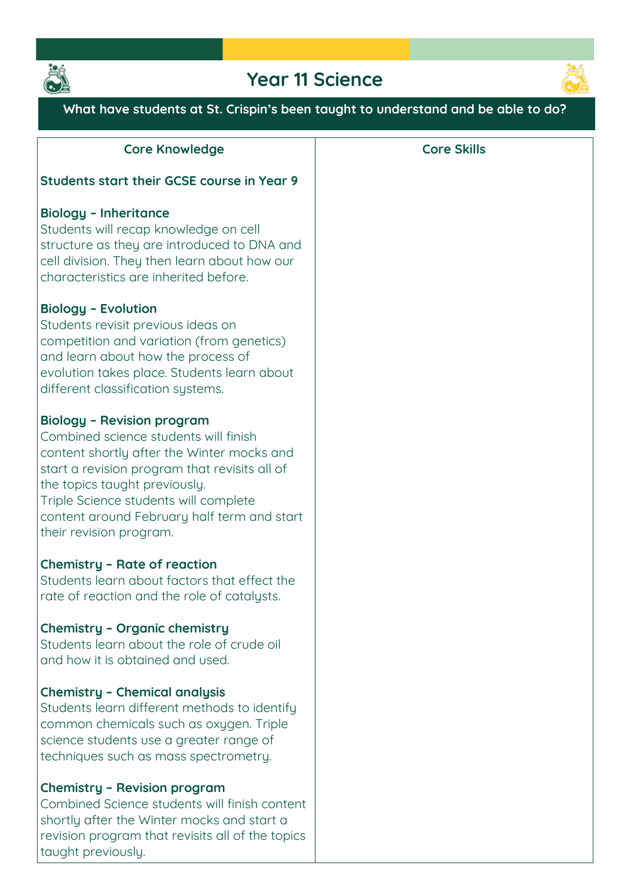

# **Year 11 Science**



**What have students at St. Crispin's been taught to understand and be able to do?**

| <b>Core Knowledge</b>                                                                                                                                                                                                                                                                                                         | <b>Core Skills</b> |
|-------------------------------------------------------------------------------------------------------------------------------------------------------------------------------------------------------------------------------------------------------------------------------------------------------------------------------|--------------------|
| <b>Students start their GCSE course in Year 9</b>                                                                                                                                                                                                                                                                             |                    |
| <b>Biology - Inheritance</b><br>Students will recap knowledge on cell<br>structure as they are introduced to DNA and<br>cell division. They then learn about how our<br>characteristics are inherited before.                                                                                                                 |                    |
| <b>Biology - Evolution</b><br>Students revisit previous ideas on<br>competition and variation (from genetics)<br>and learn about how the process of<br>evolution takes place. Students learn about<br>different classification systems.                                                                                       |                    |
| <b>Biology - Revision program</b><br>Combined science students will finish<br>content shortly after the Winter mocks and<br>start a revision program that revisits all of<br>the topics taught previously.<br>Triple Science students will complete<br>content around February half term and start<br>their revision program. |                    |
| <b>Chemistry - Rate of reaction</b><br>Students learn about factors that effect the<br>rate of reaction and the role of catalysts.                                                                                                                                                                                            |                    |
| Chemistry - Organic chemistry<br>Students learn about the role of crude oil<br>and how it is obtained and used.                                                                                                                                                                                                               |                    |
| <b>Chemistry - Chemical analysis</b><br>Students learn different methods to identify<br>common chemicals such as oxygen. Triple<br>science students use a greater range of<br>techniques such as mass spectrometry.                                                                                                           |                    |
| Chemistry - Revision program<br>Combined Science students will finish content<br>shortly after the Winter mocks and start a<br>revision program that revisits all of the topics<br>taught previously.                                                                                                                         |                    |